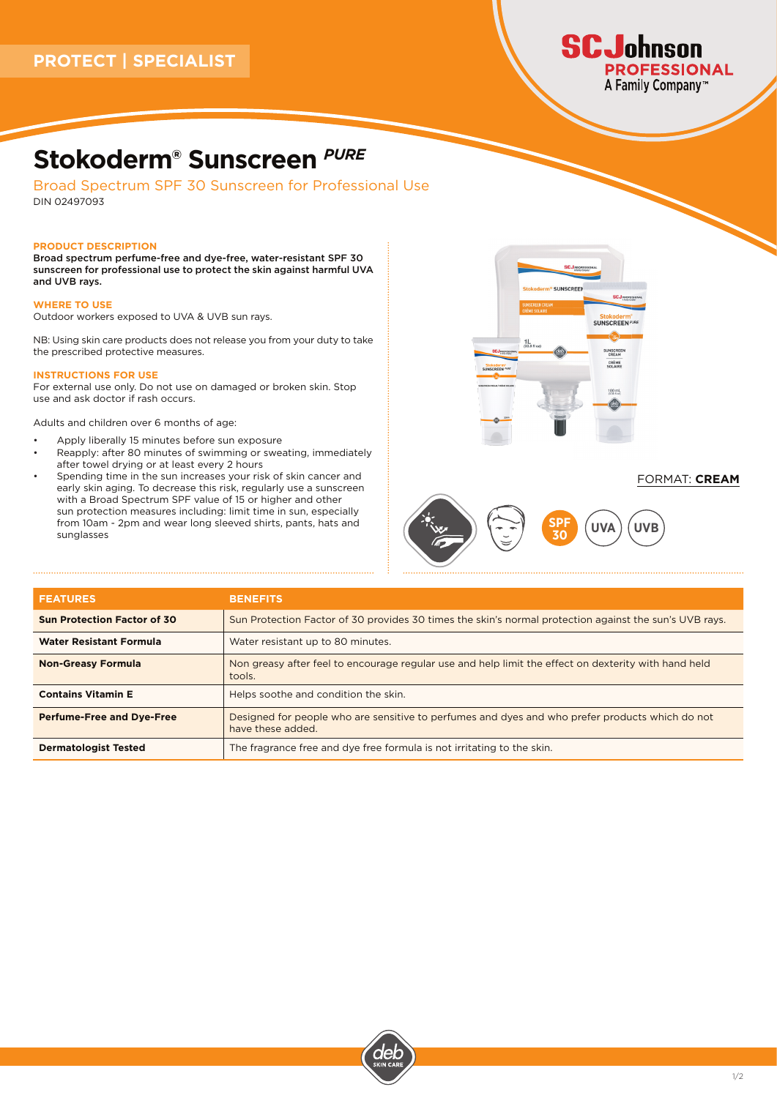

## **Stokoderm® Sunscreen** *PURE*

Broad Spectrum SPF 30 Sunscreen for Professional Use DIN 02497093

#### **PRODUCT DESCRIPTION**

Broad spectrum perfume-free and dye-free, water-resistant SPF 30 sunscreen for professional use to protect the skin against harmful UVA and UVB rays.

#### **WHERE TO USE**

Outdoor workers exposed to UVA & UVB sun rays.

NB: Using skin care products does not release you from your duty to take the prescribed protective measures.

#### **INSTRUCTIONS FOR USE**

For external use only. Do not use on damaged or broken skin. Stop use and ask doctor if rash occurs.

Adults and children over 6 months of age:

- Apply liberally 15 minutes before sun exposure
- Reapply: after 80 minutes of swimming or sweating, immediately after towel drying or at least every 2 hours
- Spending time in the sun increases your risk of skin cancer and early skin aging. To decrease this risk, regularly use a sunscreen with a Broad Spectrum SPF value of 15 or higher and other sun protection measures including: limit time in sun, especially from 10am - 2pm and wear long sleeved shirts, pants, hats and sunglasses



## FORMAT: **CREAM**



| <b>FEATURES</b>                    | <b>BENEFITS</b>                                                                                                      |
|------------------------------------|----------------------------------------------------------------------------------------------------------------------|
| <b>Sun Protection Factor of 30</b> | Sun Protection Factor of 30 provides 30 times the skin's normal protection against the sun's UVB rays.               |
| <b>Water Resistant Formula</b>     | Water resistant up to 80 minutes.                                                                                    |
| <b>Non-Greasy Formula</b>          | Non greasy after feel to encourage regular use and help limit the effect on dexterity with hand held<br>tools.       |
| <b>Contains Vitamin E</b>          | Helps soothe and condition the skin.                                                                                 |
| <b>Perfume-Free and Dye-Free</b>   | Designed for people who are sensitive to perfumes and dyes and who prefer products which do not<br>have these added. |
| <b>Dermatologist Tested</b>        | The fragrance free and dye free formula is not irritating to the skin.                                               |